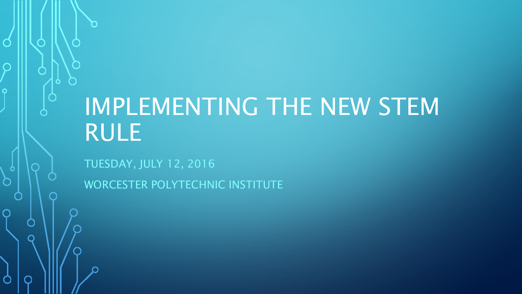# IMPLEMENTING THE NEW STEM RULE

TUESDAY, JULY 12, 2016

 $\Omega$ 

WORCESTER POLYTECHNIC INSTITUTE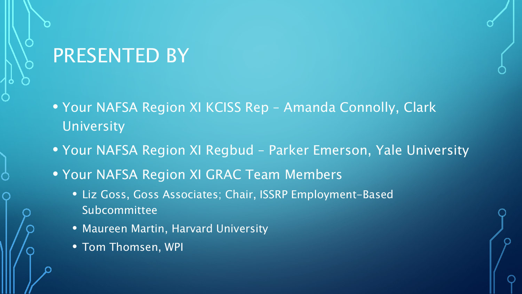## PRESENTED BY

- Your NAFSA Region XI KCISS Rep Amanda Connolly, Clark University
- Your NAFSA Region XI Regbud Parker Emerson, Yale University
- Your NAFSA Region XI GRAC Team Members
	- Liz Goss, Goss Associates; Chair, ISSRP Employment-Based Subcommittee
	- Maureen Martin, Harvard University
	- Tom Thomsen, WPI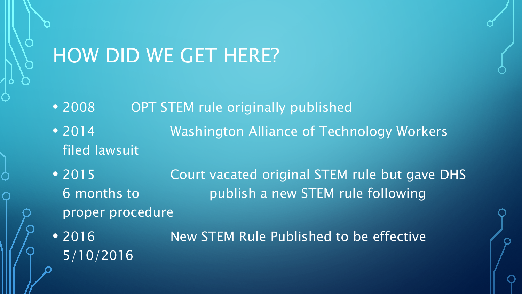## HOW DID WE GET HERE?

- 2008 OPT STEM rule originally published
- 2014 **Washington Alliance of Technology Workers** filed lawsuit
- 2015 **Court vacated original STEM rule but gave DHS** 6 months to publish a new STEM rule following proper procedure
- 2016 New STEM Rule Published to be effective 5/10/2016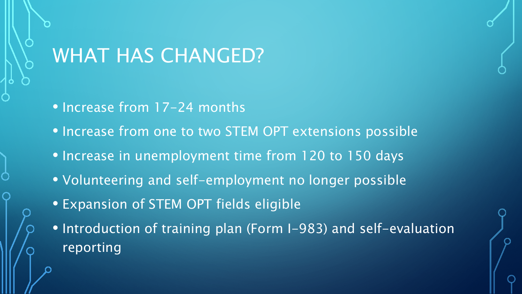## WHAT HAS CHANGED?

• Increase from 17-24 months

• Increase from one to two STEM OPT extensions possible

- Increase in unemployment time from 120 to 150 days
- Volunteering and self-employment no longer possible
- Expansion of STEM OPT fields eligible
- Introduction of training plan (Form I-983) and self-evaluation reporting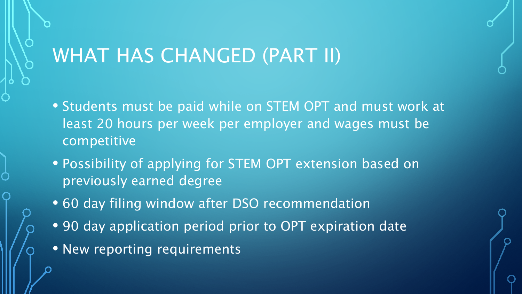## WHAT HAS CHANGED (PART II)

- Students must be paid while on STEM OPT and must work at least 20 hours per week per employer and wages must be competitive
- Possibility of applying for STEM OPT extension based on previously earned degree
- 60 day filing window after DSO recommendation
- 90 day application period prior to OPT expiration date
- New reporting requirements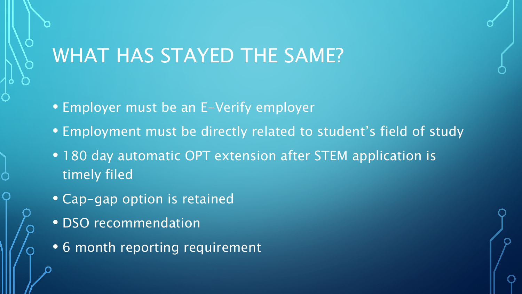## WHAT HAS STAYED THE SAME?

- Employer must be an E-Verify employer
- Employment must be directly related to student's field of study
- 180 day automatic OPT extension after STEM application is timely filed
- Cap-gap option is retained
- DSO recommendation
- 6 month reporting requirement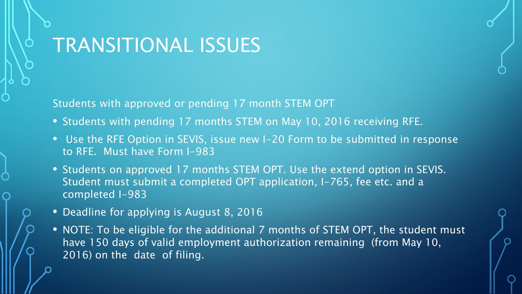## TRANSITIONAL ISSUES

Students with approved or pending 17 month STEM OPT

- Students with pending 17 months STEM on May 10, 2016 receiving RFE.
- Use the RFE Option in SEVIS, issue new I-20 Form to be submitted in response to RFE. Must have Form I-983
- Students on approved 17 months STEM OPT. Use the extend option in SEVIS. Student must submit a completed OPT application, I-765, fee etc. and a completed I-983
- Deadline for applying is August 8, 2016
- NOTE: To be eligible for the additional 7 months of STEM OPT, the student must have 150 days of valid employment authorization remaining (from May 10, 2016) on the date of filing.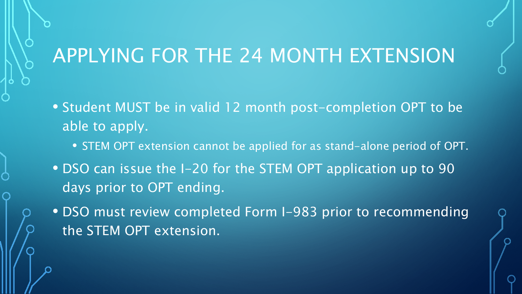- Student MUST be in valid 12 month post-completion OPT to be able to apply.
	- STEM OPT extension cannot be applied for as stand-alone period of OPT.
- DSO can issue the I-20 for the STEM OPT application up to 90 days prior to OPT ending.
- DSO must review completed Form I-983 prior to recommending the STEM OPT extension.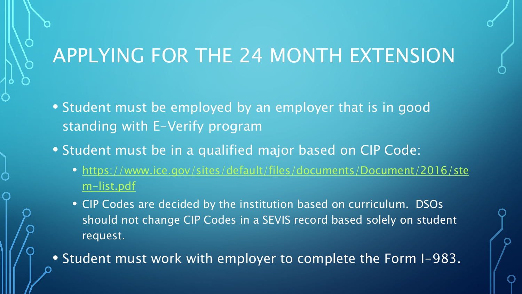- Student must be employed by an employer that is in good standing with E-Verify program
- Student must be in a qualified major based on CIP Code:
	- [https://www.ice.gov/sites/default/files/documents/Document/2016/ste](https://www.ice.gov/sites/default/files/documents/Document/2016/stem-list.pdf) m-list.pdf
	- CIP Codes are decided by the institution based on curriculum. DSOs should not change CIP Codes in a SEVIS record based solely on student request.

• Student must work with employer to complete the Form I-983.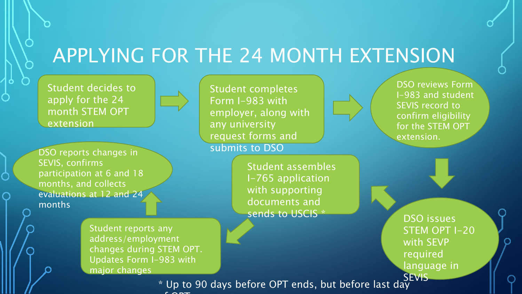Student decides to apply for the 24 month STEM OPT extension

DSO reports changes in SEVIS, confirms participation at 6 and 18 months, and collects evaluations at 12 and 24 months

> Student reports any address/employment changes during STEM OPT. Updates Form I-983 with major changes

Student completes Form I-983 with employer, along with any university request forms and submits to DSO

> Student assembles I-765 application with supporting documents and sends to USCIS \*

DSO reviews Form I-983 and student SEVIS record to confirm eligibility for the STEM OPT extension.

DSO issues STEM OPT I-20 with SEVP required language in SEVIS

\* Up to 90 days before OPT ends, but before last day f OPT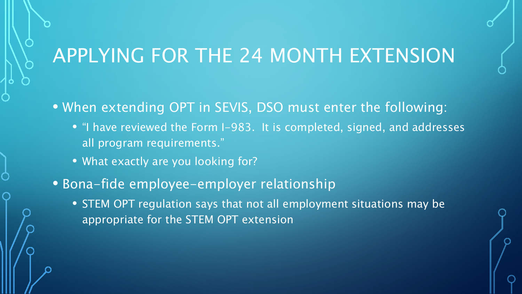• When extending OPT in SEVIS, DSO must enter the following:

- "I have reviewed the Form I-983. It is completed, signed, and addresses all program requirements."
- What exactly are you looking for?
- Bona-fide employee-employer relationship
	- STEM OPT regulation says that not all employment situations may be appropriate for the STEM OPT extension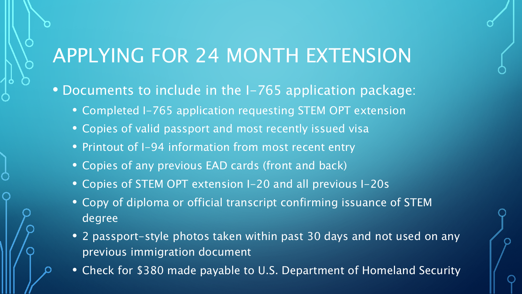• Documents to include in the I-765 application package:

- Completed I-765 application requesting STEM OPT extension
- Copies of valid passport and most recently issued visa
- Printout of I-94 information from most recent entry
- Copies of any previous EAD cards (front and back)
- Copies of STEM OPT extension I-20 and all previous I-20s
- Copy of diploma or official transcript confirming issuance of STEM degree
- 2 passport-style photos taken within past 30 days and not used on any previous immigration document
- Check for \$380 made payable to U.S. Department of Homeland Security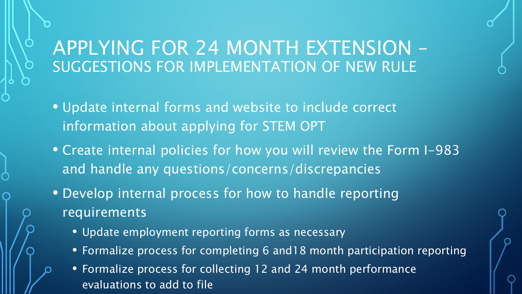### APPLYING FOR 24 MONTH EXTENSION – SUGGESTIONS FOR IMPLEMENTATION OF NEW RULE

- Update internal forms and website to include correct information about applying for STEM OPT
- Create internal policies for how you will review the Form I-983 and handle any questions/concerns/discrepancies
- Develop internal process for how to handle reporting requirements
	- Update employment reporting forms as necessary
	- Formalize process for completing 6 and18 month participation reporting
	- Formalize process for collecting 12 and 24 month performance evaluations to add to file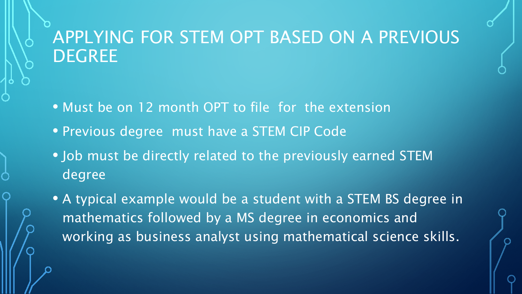### APPLYING FOR STEM OPT BASED ON A PREVIOUS **DEGREE**

- Must be on 12 month OPT to file for the extension
- Previous degree must have a STEM CIP Code
- Job must be directly related to the previously earned STEM degree
- A typical example would be a student with a STEM BS degree in mathematics followed by a MS degree in economics and working as business analyst using mathematical science skills.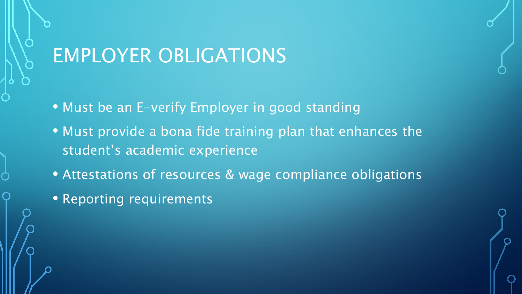## EMPLOYER OBLIGATIONS

• Must be an E-verify Employer in good standing

- Must provide a bona fide training plan that enhances the student's academic experience
- Attestations of resources & wage compliance obligations
- Reporting requirements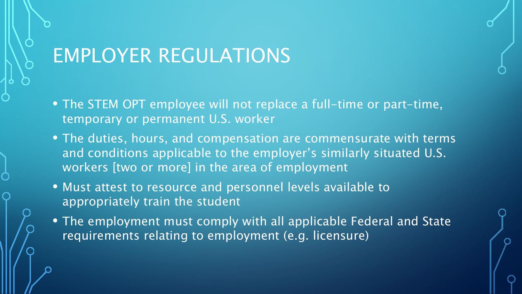## EMPLOYER REGULATIONS

- The STEM OPT employee will not replace a full-time or part-time, temporary or permanent U.S. worker
- The duties, hours, and compensation are commensurate with terms and conditions applicable to the employer's similarly situated U.S. workers [two or more] in the area of employment
- Must attest to resource and personnel levels available to appropriately train the student
- The employment must comply with all applicable Federal and State requirements relating to employment (e.g. licensure)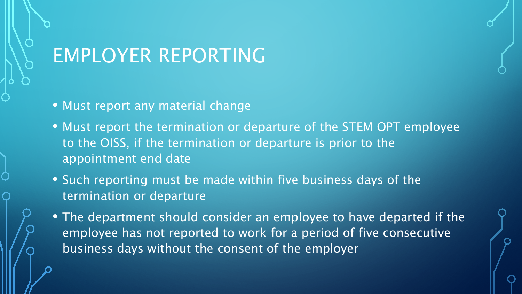## EMPLOYER REPORTING

- Must report any material change
- Must report the termination or departure of the STEM OPT employee to the OISS, if the termination or departure is prior to the appointment end date
- Such reporting must be made within five business days of the termination or departure
- The department should consider an employee to have departed if the employee has not reported to work for a period of five consecutive business days without the consent of the employer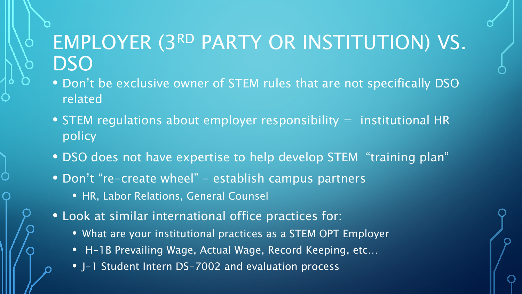## EMPLOYER (3RD PARTY OR INSTITUTION) VS. **DSO**

- Don't be exclusive owner of STEM rules that are not specifically DSO related
- STEM regulations about employer responsibility  $=$  institutional HR policy
- DSO does not have expertise to help develop STEM "training plan"
- Don't "re-create wheel" establish campus partners
	- HR, Labor Relations, General Counsel
- Look at similar international office practices for:
	- What are your institutional practices as a STEM OPT Employer
	- H-1B Prevailing Wage, Actual Wage, Record Keeping, etc…
	- J-1 Student Intern DS-7002 and evaluation process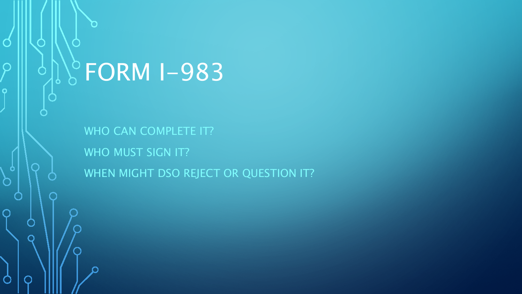# $\degree$ FORM I-983

 $\bigcap$ 

 $\bigcap$ 

 $\bigcap$ 

 $\bullet$ 

 $\bigcap$ 

 $\cap$ 

WHO CAN COMPLETE IT? WHO MUST SIGN IT? WHEN MIGHT DSO REJECT OR QUESTION IT?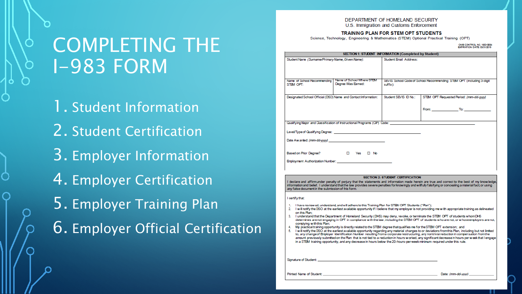DEPARTMENT OF HOMELAND SECURITY U.S. Immigration and Customs Enforcement

#### TRAINING PLAN FOR STEM OPT STUDENTS

Science, Technology, Engineering & Mathematics (STEM) Optional Practical Training (OPT)

OMB CONTROL NO. 1653-005<br>EXPIRATION DATE: 03/31/2019

|                                                                |                                                                                                                                                                                                                                                          | SECTION 1: STUDENT INFORMATION (Completed by Student)                            |                                                                                                                                                                                                                                                                                                                                                                                                                                                               |  |  |
|----------------------------------------------------------------|----------------------------------------------------------------------------------------------------------------------------------------------------------------------------------------------------------------------------------------------------------|----------------------------------------------------------------------------------|---------------------------------------------------------------------------------------------------------------------------------------------------------------------------------------------------------------------------------------------------------------------------------------------------------------------------------------------------------------------------------------------------------------------------------------------------------------|--|--|
| Student Name (Surname/Primary Name, Given Name):               |                                                                                                                                                                                                                                                          | Student Email Address:                                                           |                                                                                                                                                                                                                                                                                                                                                                                                                                                               |  |  |
| Name of School Recommending<br>STEM OPT:                       | Name of School Where STEM<br>Degree Was Earned:                                                                                                                                                                                                          | SEVIS School Code of School Recommending STEM OPT (including 3-digit<br>suffix): |                                                                                                                                                                                                                                                                                                                                                                                                                                                               |  |  |
|                                                                |                                                                                                                                                                                                                                                          |                                                                                  |                                                                                                                                                                                                                                                                                                                                                                                                                                                               |  |  |
| Designated School Official (DSO) Name and Contact Information: |                                                                                                                                                                                                                                                          | Student SEVIS ID No.:                                                            | STEM OPT Requested Period: (mm-dd-yyyy)                                                                                                                                                                                                                                                                                                                                                                                                                       |  |  |
|                                                                |                                                                                                                                                                                                                                                          |                                                                                  |                                                                                                                                                                                                                                                                                                                                                                                                                                                               |  |  |
|                                                                | Qualifying Major and Classification of Instructional Programs (CIP) Code:                                                                                                                                                                                |                                                                                  |                                                                                                                                                                                                                                                                                                                                                                                                                                                               |  |  |
|                                                                |                                                                                                                                                                                                                                                          |                                                                                  |                                                                                                                                                                                                                                                                                                                                                                                                                                                               |  |  |
|                                                                |                                                                                                                                                                                                                                                          |                                                                                  |                                                                                                                                                                                                                                                                                                                                                                                                                                                               |  |  |
|                                                                |                                                                                                                                                                                                                                                          |                                                                                  |                                                                                                                                                                                                                                                                                                                                                                                                                                                               |  |  |
|                                                                |                                                                                                                                                                                                                                                          | <b>SECTION 2: STUDENT CERTIFICATION</b>                                          |                                                                                                                                                                                                                                                                                                                                                                                                                                                               |  |  |
| any false document in the submission of this form              |                                                                                                                                                                                                                                                          |                                                                                  | I declare and affirm under penalty of perjury that the statements and information made herein are true and correct to the best of my knowledge,<br>information and belief. I understand that the law provides severe penalties for knowingly and willfully falsifying or concealing a material fact, or using                                                                                                                                                 |  |  |
| I certify that:                                                |                                                                                                                                                                                                                                                          |                                                                                  |                                                                                                                                                                                                                                                                                                                                                                                                                                                               |  |  |
| on this Han:                                                   | 1. I have review ed, understand, and will adhere to this Training Plan for STEM OPT Students ("Ran");                                                                                                                                                    |                                                                                  | 2. I will notify the DSO at the earliest available opportunity if I believe that my employer is not providing me with appropriate training as delineated<br>3. I understand that the Department of Homeland Security (DHS) may deny, revoke, or terminate the STEM OPT of students whom DHS<br>determines are not engaging in OPT in compliance with the law, including the STEM OPT of students who are not, or whose employers are not,                     |  |  |
| complying with this Plan:                                      | 4. My practical training opportunity is directly related to the STEM degree that qualifies me for the STEM OPT extension; and<br>in a STEM training opportunity, and any decrease in hours below the 20-hours-per-week minimum required under this rule. |                                                                                  | 5. I will notify the DSO at the earliest available opportunity regarding any material changes to or deviations from this Flan, including but not limited<br>to, any change of Employer Identification Number resulting from a corporate restructuring, any nontrivial reduction in compensation from the<br>amount previously submitted on the Flan that is not tied to a reduction in hours worked, any significant decrease in hours per week that I engage |  |  |
|                                                                |                                                                                                                                                                                                                                                          |                                                                                  |                                                                                                                                                                                                                                                                                                                                                                                                                                                               |  |  |

COMPLETING THE I-983 FORM

1. Student Information 2. Student Certification 3. Employer Information 4. Employer Certification 5. Employer Training Plan 6. Employer Official Certification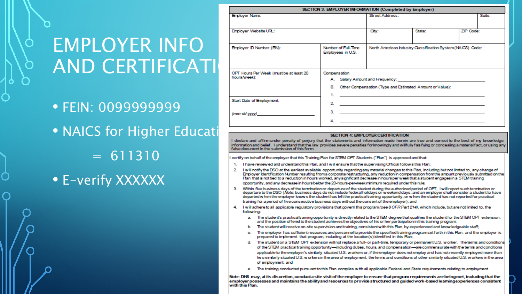## EMPLOYER INFO AND CERTIFICATI

• FEIN: 0099999999 • NAICS for Higher Education Case and affirmunder penalty of perjury that the statements and information made herein are true and correct to the best of my knowledge.  $= 611310$ • E-verify XXXXXX

| SECTION 3: EMPLOYER INFORMATION (Completed by Employer)               |                                                                             |                                                                                                                                                                                                                                                                                                                                                       |           |        |  |  |  |  |
|-----------------------------------------------------------------------|-----------------------------------------------------------------------------|-------------------------------------------------------------------------------------------------------------------------------------------------------------------------------------------------------------------------------------------------------------------------------------------------------------------------------------------------------|-----------|--------|--|--|--|--|
| <b>Employer Name:</b>                                                 | <b>Street Address:</b>                                                      |                                                                                                                                                                                                                                                                                                                                                       |           | Suite: |  |  |  |  |
| Employer Website URL:                                                 | City:                                                                       | State:                                                                                                                                                                                                                                                                                                                                                | ZIP Code: |        |  |  |  |  |
| Number of Full-Time<br>Employer ID Number (EIN):<br>Employees in U.S. |                                                                             | North American Industry Classification System (NAICS) Code:                                                                                                                                                                                                                                                                                           |           |        |  |  |  |  |
| OPT Hours Per Week (must be at least 20<br>hours/week):               | Compensation<br>B. Other Compensation (Type and Estimated Amount or Value): |                                                                                                                                                                                                                                                                                                                                                       |           |        |  |  |  |  |
| Start Date of Employment:<br>(mm-dd-yyyy)                             | 2.<br>З.<br>4.                                                              | the control of the control of the control of the control of the control of the control of the control of the control of the control of the control of the control of the control of the control of the control of the control<br><u> 1989 - Johann Stein, mars an deutscher Stein und der Stein und der Stein und der Stein und der Stein und der</u> |           |        |  |  |  |  |

#### SECTION 4: EMPLOYER CERTIFICATION

information and belief. I understand that the law provides severe penalties forknowingly and willfully falsifying or concealing a material fact, or using any false document in the submission of this form.

certify on behalf of the employer that this Training Flan for STEM OFT Students ("Flan") is approved and that

- I have review ed and understand this Plan, and I will ensure that the supervising Official follows this Plan; 1.
- 2. I will notify the DSO at the earliest available opportunity regarding any material changes to this Flan, including but not limited to, any change of Employer Identification Number resulting from a corporate restructuring, any reduction in compensation from the amount previously submitted on the Plan that is not tied to a reduction in hours worked, any significant decrease in hours per week that a student engages in a STEM training opportunity, and any decrease in hours below the 20-hours-per-week minimum required under this rule;
- Within five business days of the termination or departure of the student during the authorized period of OFT, I will report such termination or<br>departure to the DSO (Note: business days do not include federal holidays or w з. departed when the employer knows the student has left the practical training opportunity, or when the student has not reported for practical training for a period of five consecutive business days without the consent of the employer); and
- 4. I will adhere to all applicable regulatory provisions that govern this program (see 8 CFR Part 214), which include, but are not limited to, the following:
	- a. The student's practical training opportunity is directly related to the STEM degree that qualifies the student for the STEM OPT extension, and the position offered to the student achieves the objectives of his or her participation in this training program;
	- The student will receive on-site supervision and training, consistent with this Flan, by experienced and knowledgeable staff; Ъ.
	- The employer has sufficient resources and personnel to provide the specified training programset forth in this Ran, and the employer is prepared to implement that program, including at the location(s) identified in this Flan;
	- The student on a STEM OPT extension will not replace a full- or part-time, temporary or permanent U.S. worker. The terms and conditions d. of the STEM practical training opportunity-including duties, hours, and compensation-are commensurate with the terms and conditions applicable to the employer's similarly situated U.S. workersor, if the employer does not employ and has not recently employed more than two similarly situated U.S. workers in the area of employment, the terms and conditions of other similarly situated U.S. workers in the area of employment; and
	- e. The training conducted pursuant to this Plan complies with all applicable Federal and State requirements relating to employment.

Note: DHS may, at its discretion, conducta site visit of the employer to ensure that program requirements are beingmet, including that the employer possesses and maintains the ability and resources to provide structured and guided work-based learninge xperiences consistent with this Plan.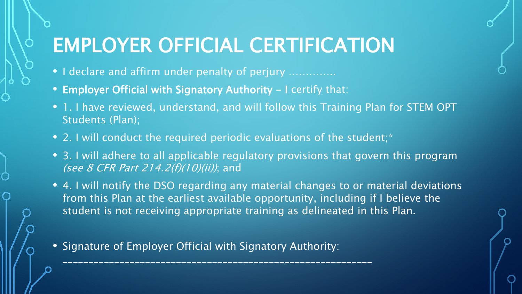## EMPLOYER OFFICIAL CERTIFICATION

- I declare and affirm under penalty of perjury ..............
- Employer Official with Signatory Authority I certify that:
- 1. I have reviewed, understand, and will follow this Training Plan for STEM OPT Students (Plan);
- 2. I will conduct the required periodic evaluations of the student;\*
- 3. I will adhere to all applicable regulatory provisions that govern this program (see 8 CFR Part 214.2(f)(10)(ii)); and
- 4. I will notify the DSO regarding any material changes to or material deviations from this Plan at the earliest available opportunity, including if I believe the student is not receiving appropriate training as delineated in this Plan.
- Signature of Employer Official with Signatory Authority:

\_\_\_\_\_\_\_\_\_\_\_\_\_\_\_\_\_\_\_\_\_\_\_\_\_\_\_\_\_\_\_\_\_\_\_\_\_\_\_\_\_\_\_\_\_\_\_\_\_\_\_\_\_\_\_\_\_\_\_\_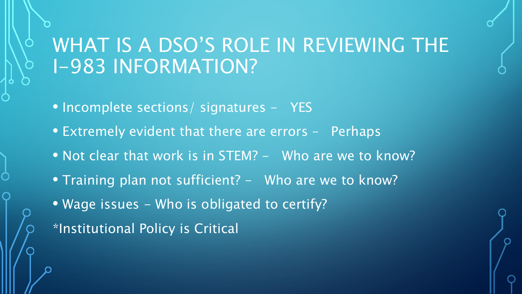## WHAT IS A DSO'S ROLE IN REVIEWING THE I-983 INFORMATION?

- Incomplete sections/ signatures YES
- Extremely evident that there are errors Perhaps
- Not clear that work is in STEM? Who are we to know?
- Training plan not sufficient? Who are we to know?
- Wage issues Who is obligated to certify?
- \*Institutional Policy is Critical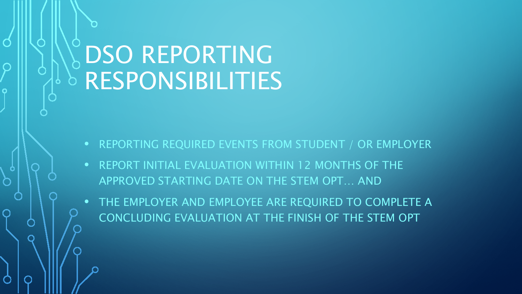# DSO REPORTING RESPONSIBILITIES

- REPORTING REQUIRED EVENTS FROM STUDENT / OR EMPLOYER
- REPORT INITIAL EVALUATION WITHIN 12 MONTHS OF THE APPROVED STARTING DATE ON THE STEM OPT… AND
- THE EMPLOYER AND EMPLOYEE ARE REQUIRED TO COMPLETE A CONCLUDING EVALUATION AT THE FINISH OF THE STEM OPT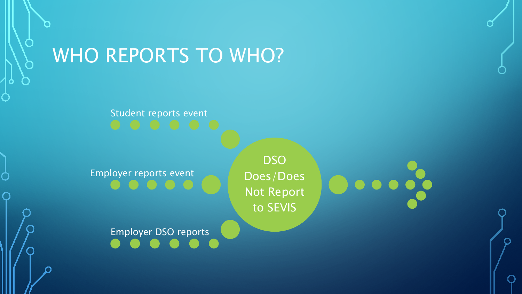## WHO REPORTS TO WHO?

# Student reports event

Employer reports event

**DSO** Does/Does Not Report to SEVIS

Employer DSO reports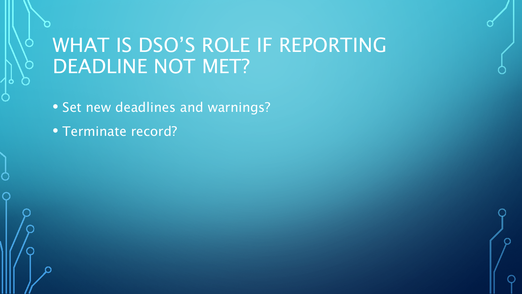## WHAT IS DSO'S ROLE IF REPORTING DEADLINE NOT MET?

- Set new deadlines and warnings?
- Terminate record?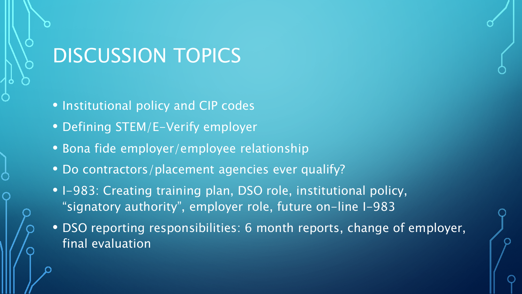## DISCUSSION TOPICS

- Institutional policy and CIP codes
- Defining STEM/E-Verify employer
- Bona fide employer/employee relationship
- Do contractors/placement agencies ever qualify?
- I-983: Creating training plan, DSO role, institutional policy, "signatory authority", employer role, future on-line I-983
- DSO reporting responsibilities: 6 month reports, change of employer, final evaluation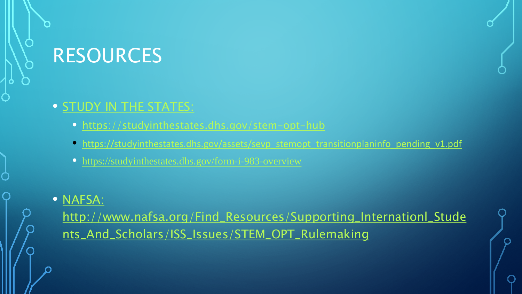## RESOURCES

### • [STUDY IN THE STATES:](https://studyinthestates.dhs.gov/stem-opt-hub)

- <https://studyinthestates.dhs.gov/stem-opt-hub>
- [https://studyinthestates.dhs.gov/assets/sevp\\_stemopt\\_transitionplaninfo\\_pending\\_v1.pdf](https://studyinthestates.dhs.gov/assets/sevp_stemopt_transitionplaninfo_pending_v1.pdf)
- <https://studyinthestates.dhs.gov/form-i-983-overview>

### • NAFSA:

[http://www.nafsa.org/Find\\_Resources/Supporting\\_Internationl\\_Stude](http://www.nafsa.org/Find_Resources/Supporting_Internationl_Students_And_Scholars/ISS_Issues/STEM_OPT_Rulemaking/) nts\_And\_Scholars/ISS\_Issues/STEM\_OPT\_Rulemaking